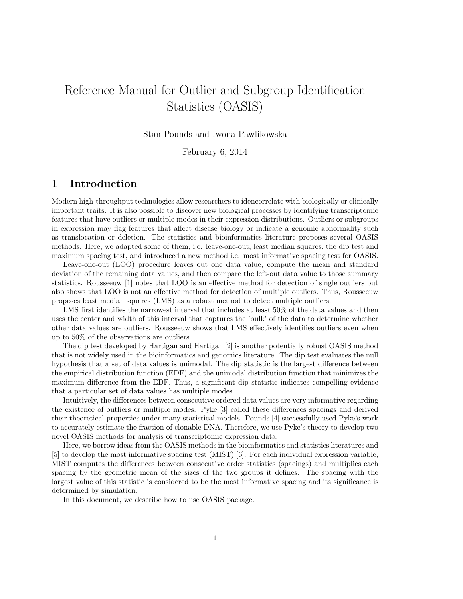# Reference Manual for Outlier and Subgroup Identification Statistics (OASIS)

Stan Pounds and Iwona Pawlikowska

February 6, 2014

# 1 Introduction

Modern high-throughput technologies allow researchers to idencorrelate with biologically or clinically important traits. It is also possible to discover new biological processes by identifying transcriptomic features that have outliers or multiple modes in their expression distributions. Outliers or subgroups in expression may flag features that affect disease biology or indicate a genomic abnormality such as translocation or deletion. The statistics and bioinformatics literature proposes several OASIS methods. Here, we adapted some of them, i.e. leave-one-out, least median squares, the dip test and maximum spacing test, and introduced a new method i.e. most informative spacing test for OASIS.

Leave-one-out (LOO) procedure leaves out one data value, compute the mean and standard deviation of the remaining data values, and then compare the left-out data value to those summary statistics. Rousseeuw [1] notes that LOO is an effective method for detection of single outliers but also shows that LOO is not an effective method for detection of multiple outliers. Thus, Rousseeuw proposes least median squares (LMS) as a robust method to detect multiple outliers.

LMS first identifies the narrowest interval that includes at least 50% of the data values and then uses the center and width of this interval that captures the 'bulk' of the data to determine whether other data values are outliers. Rousseeuw shows that LMS effectively identifies outliers even when up to 50% of the observations are outliers.

The dip test developed by Hartigan and Hartigan [2] is another potentially robust OASIS method that is not widely used in the bioinformatics and genomics literature. The dip test evaluates the null hypothesis that a set of data values is unimodal. The dip statistic is the largest difference between the empirical distribution function (EDF) and the unimodal distribution function that minimizes the maximum difference from the EDF. Thus, a significant dip statistic indicates compelling evidence that a particular set of data values has multiple modes.

Intuitively, the differences between consecutive ordered data values are very informative regarding the existence of outliers or multiple modes. Pyke [3] called these differences spacings and derived their theoretical properties under many statistical models. Pounds [4] successfully used Pyke's work to accurately estimate the fraction of clonable DNA. Therefore, we use Pyke's theory to develop two novel OASIS methods for analysis of transcriptomic expression data.

Here, we borrow ideas from the OASIS methods in the bioinformatics and statistics literatures and [5] to develop the most informative spacing test (MIST) [6]. For each individual expression variable, MIST computes the differences between consecutive order statistics (spacings) and multiplies each spacing by the geometric mean of the sizes of the two groups it defines. The spacing with the largest value of this statistic is considered to be the most informative spacing and its significance is determined by simulation.

In this document, we describe how to use OASIS package.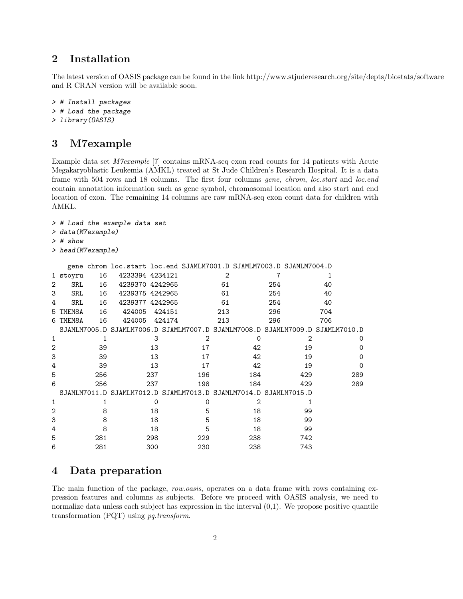## 2 Installation

The latest version of OASIS package can be found in the link http://www.stjuderesearch.org/site/depts/biostats/software and R CRAN version will be available soon.

```
> # Install packages
> # Load the package
> library(OASIS)
```
# 3 M7example

> # Load the example data set

Example data set M7example [7] contains mRNA-seq exon read counts for 14 patients with Acute Megakaryoblastic Leukemia (AMKL) treated at St Jude Children's Research Hospital. It is a data frame with 504 rows and 18 columns. The first four columns gene, chrom, loc.start and loc.end contain annotation information such as gene symbol, chromosomal location and also start and end location of exon. The remaining 14 columns are raw mRNA-seq exon count data for children with AMKL.

```
> data(M7example)
> # show
> head(M7example)
 gene chrom loc.start loc.end SJAMLM7001.D SJAMLM7003.D SJAMLM7004.D
1 stoyru 16 4233394 4234121 2 7 1
2 SRL 16 4239370 4242965 61 254 40
3 SRL 16 4239375 4242965 61 254 40
4 SRL 16 4239377 4242965 61 254 40
5 TMEM8A 16 424005 424151 213 296 704
6 TMEM8A 16 424005 424174 213 296 706
SJAMLM7005.D SJAMLM7006.D SJAMLM7007.D SJAMLM7008.D SJAMLM7009.D SJAMLM7010.D
1 1 3 2 0 2 0
2 39 13 17 42 19 0
3 39 13 17 42 19 0
4 39 13 17 42 19 0
5 256 237 196 184 429 289
6 256 237 198 184 429 289
SJAMLM7011.D SJAMLM7012.D SJAMLM7013.D SJAMLM7014.D SJAMLM7015.D
1 1 0 0 2 1
2 8 18 5 18 99
3 8 18 5 18 99
4 8 18 5 18 99
5 281 298 229 238 742
6 281 300 230 238 743
```
### 4 Data preparation

The main function of the package, row.oasis, operates on a data frame with rows containing expression features and columns as subjects. Before we proceed with OASIS analysis, we need to normalize data unless each subject has expression in the interval  $(0,1)$ . We propose positive quantile transformation (PQT) using pq.transform.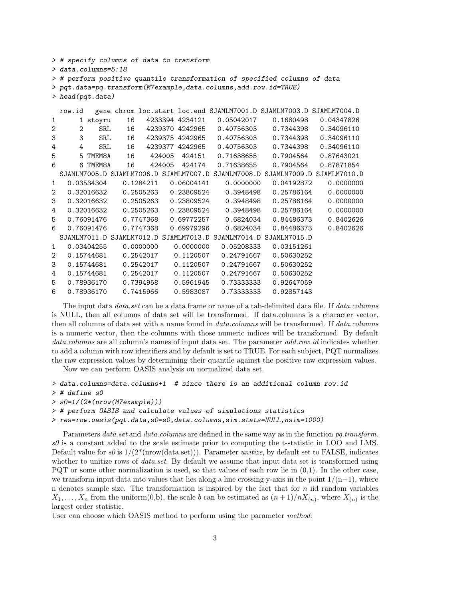```
> # specify columns of data to transform
> data.columns=5:18
> # perform positive quantile transformation of specified columns of data
> pqt.data=pq.transform(M7example,data.columns,add.row.id=TRUE)
> head(pqt.data)
 row.id gene chrom loc.start loc.end SJAMLM7001.D SJAMLM7003.D SJAMLM7004.D
1 1 stoyru 16 4233394 4234121 0.05042017 0.1680498 0.04347826
2 2 SRL 16 4239370 4242965 0.40756303 0.7344398 0.34096110
3 3 SRL 16 4239375 4242965 0.40756303 0.7344398 0.34096110
4 4 SRL 16 4239377 4242965 0.40756303 0.7344398 0.34096110
5 5 TMEM8A 16 424005 424151 0.71638655 0.7904564 0.87643021
6 6 TMEM8A 16 424005 424174 0.71638655 0.7904564 0.87871854
 SJAMLM7005.D SJAMLM7006.D SJAMLM7007.D SJAMLM7008.D SJAMLM7009.D SJAMLM7010.D
1 0.03534304 0.1284211 0.06004141 0.0000000 0.04192872 0.0000000
2 0.32016632 0.2505263 0.23809524 0.3948498 0.25786164 0.0000000
3 0.32016632 0.2505263 0.23809524 0.3948498 0.25786164 0.0000000
4 0.32016632 0.2505263 0.23809524 0.3948498 0.25786164 0.0000000
5 0.76091476 0.7747368 0.69772257 0.6824034 0.84486373 0.8402626
6 0.76091476 0.7747368 0.69979296 0.6824034 0.84486373 0.8402626
 SJAMLM7011.D SJAMLM7012.D SJAMLM7013.D SJAMLM7014.D SJAMLM7015.D
1 0.03404255 0.0000000 0.0000000 0.05208333 0.03151261
2 0.15744681 0.2542017 0.1120507 0.24791667 0.50630252
3 0.15744681 0.2542017 0.1120507 0.24791667 0.50630252
4 0.15744681 0.2542017 0.1120507 0.24791667 0.50630252
5 0.78936170 0.7394958 0.5961945 0.73333333 0.92647059
6 0.78936170 0.7415966 0.5983087 0.73333333 0.92857143
```
The input data *data.set* can be a data frame or name of a tab-delimited data file. If *data.columns* is NULL, then all columns of data set will be transformed. If data.columns is a character vector, then all columns of data set with a name found in *data.columns* will be transformed. If *data.columns* is a numeric vector, then the columns with those numeric indices will be transformed. By default data.columns are all column's names of input data set. The parameter add.row.id indicates whether to add a column with row identifiers and by default is set to TRUE. For each subject, PQT normalizes the raw expression values by determining their quantile against the positive raw expression values.

Now we can perform OASIS analysis on normalized data set.

```
> data.columns=data.columns+1 # since there is an additional column row.id
```
- > # define s0
- > s0=1/(2\*(nrow(M7example)))
- > # perform OASIS and calculate values of simulations statistics

```
> res=row.oasis(pqt.data,s0=s0,data.columns,sim.stats=NULL,nsim=1000)
```
Parameters data.set and data.columns are defined in the same way as in the function pq.transform.  $s\theta$  is a constant added to the scale estimate prior to computing the t-statistic in LOO and LMS. Default value for s0 is  $1/(2^*(nrow(data.set)))$ . Parameter unitize, by default set to FALSE, indicates whether to unitize rows of *data.set*. By default we assume that input data set is transformed using PQT or some other normalization is used, so that values of each row lie in  $(0,1)$ . In the other case, we transform input data into values that lies along a line crossing y-axis in the point  $1/(n+1)$ , where n denotes sample size. The transformation is inspired by the fact that for  $n$  iid random variables  $X_1, \ldots, X_n$  from the uniform(0,b), the scale b can be estimated as  $(n+1)/nX_{(n)}$ , where  $X_{(n)}$  is the largest order statistic.

User can choose which OASIS method to perform using the parameter method: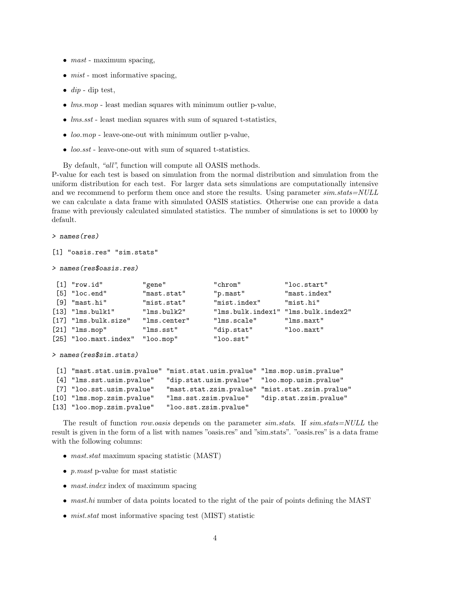- $mast$  maximum spacing,
- $\bullet$  *mist* most informative spacing,
- $dip$  dip test,
- *lms.mop* least median squares with minimum outlier p-value,
- $\bullet$  lms.sst least median squares with sum of squared t-statistics,
- loo.mop leave-one-out with minimum outlier p-value,
- loo.sst leave-one-out with sum of squared t-statistics.

By default, "all", function will compute all OASIS methods.

P-value for each test is based on simulation from the normal distribution and simulation from the uniform distribution for each test. For larger data sets simulations are computationally intensive and we recommend to perform them once and store the results. Using parameter  $sim\:stat = NULL$ we can calculate a data frame with simulated OASIS statistics. Otherwise one can provide a data frame with previously calculated simulated statistics. The number of simulations is set to 10000 by default.

> names(res)

```
[1] "oasis.res" "sim.stats"
```

```
> names(res$oasis.res)
```

| $[1]$ "row.id"                  | "gene"       | "chrom"                             | "loc.start"  |
|---------------------------------|--------------|-------------------------------------|--------------|
| $[5]$ "loc.end"                 | "mast.stat"  | "p.mast"                            | "mast.index" |
| [9] "mast.hi"                   | "mist.stat"  | "mist.index"                        | "mist.hi"    |
| $[13]$ "lms.bulk1"              | "lms.bulk2"  | "lms.bulk.index1" "lms.bulk.index2" |              |
| $[17]$ "lms.bulk.size"          | "lms.center" | "lms.scale"                         | "Ims.maxt"   |
| $[21]$ "lms.mop"                | "lms.sst"    | "dip.stat"                          | "loo.maxt"   |
| [25] "loo.maxt.index" "loo.mop" |              | "loo.sst"                           |              |

```
> names(res$sim.stats)
```

|                            | [1] "mast.stat.usim.pvalue" "mist.stat.usim.pvalue" "lms.mop.usim.pvalue" |                        |
|----------------------------|---------------------------------------------------------------------------|------------------------|
| [4] "lms.sst.usim.pvalue"  | "dip.stat.usim.pvalue" "loo.mop.usim.pvalue"                              |                        |
| [7] "loo.sst.usim.pvalue"  | "mast.stat.zsim.pvalue" "mist.stat.zsim.pvalue"                           |                        |
| [10] "lms.mop.zsim.pvalue" | "lms.sst.zsim.pvalue"                                                     | "dip.stat.zsim.pvalue" |
| [13] "loo.mop.zsim.pvalue" | "loo.sst.zsim.pvalue"                                                     |                        |

The result of function row.oasis depends on the parameter sim.stats. If sim.stats=NULL the result is given in the form of a list with names "oasis.res" and "sim.stats". "oasis.res" is a data frame with the following columns:

- mast.stat maximum spacing statistic (MAST)
- p.mast p-value for mast statistic
- mast.index index of maximum spacing
- mast.hi number of data points located to the right of the pair of points defining the MAST
- *mist.stat* most informative spacing test (MIST) statistic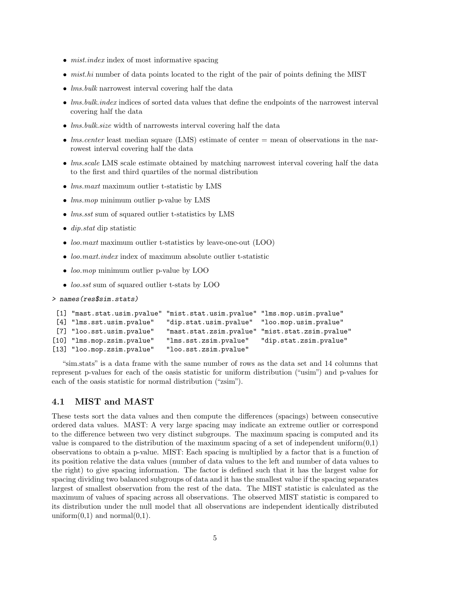- *mist.index* index of most informative spacing
- $\bullet$  mist.hi number of data points located to the right of the pair of points defining the MIST
- *lms.bulk* narrowest interval covering half the data
- *lms.bulk.index* indices of sorted data values that define the endpoints of the narrowest interval covering half the data
- *lms.bulk.size* width of narrowests interval covering half the data
- *lms.center* least median square (LMS) estimate of center = mean of observations in the narrowest interval covering half the data
- *lms.scale* LMS scale estimate obtained by matching narrowest interval covering half the data to the first and third quartiles of the normal distribution
- *lms.maxt* maximum outlier t-statistic by LMS
- *lms.mop* minimum outlier p-value by LMS
- *lms.sst* sum of squared outlier t-statistics by LMS
- *dip.stat* dip statistic
- *loo.maxt* maximum outlier t-statistics by leave-one-out (LOO)
- $\bullet$  loo.maxt.index index of maximum absolute outlier t-statistic
- *loo.mop* minimum outlier p-value by LOO
- *loo.sst* sum of squared outlier t-stats by LOO

```
> names(res$sim.stats)
```

```
[1] "mast.stat.usim.pvalue" "mist.stat.usim.pvalue" "lms.mop.usim.pvalue"
[4] "lms.sst.usim.pvalue" "dip.stat.usim.pvalue" "loo.mop.usim.pvalue"
[7] "loo.sst.usim.pvalue" "mast.stat.zsim.pvalue" "mist.stat.zsim.pvalue"
[10] "lms.mop.zsim.pvalue" "lms.sst.zsim.pvalue" "dip.stat.zsim.pvalue"
[13] "loo.mop.zsim.pvalue" "loo.sst.zsim.pvalue"
```
"sim.stats" is a data frame with the same number of rows as the data set and 14 columns that represent p-values for each of the oasis statistic for uniform distribution ("usim") and p-values for each of the oasis statistic for normal distribution ("zsim").

#### 4.1 MIST and MAST

These tests sort the data values and then compute the differences (spacings) between consecutive ordered data values. MAST: A very large spacing may indicate an extreme outlier or correspond to the difference between two very distinct subgroups. The maximum spacing is computed and its value is compared to the distribution of the maximum spacing of a set of independent uniform $(0,1)$ observations to obtain a p-value. MIST: Each spacing is multiplied by a factor that is a function of its position relative the data values (number of data values to the left and number of data values to the right) to give spacing information. The factor is defined such that it has the largest value for spacing dividing two balanced subgroups of data and it has the smallest value if the spacing separates largest of smallest observation from the rest of the data. The MIST statistic is calculated as the maximum of values of spacing across all observations. The observed MIST statistic is compared to its distribution under the null model that all observations are independent identically distributed uniform $(0,1)$  and normal $(0,1)$ .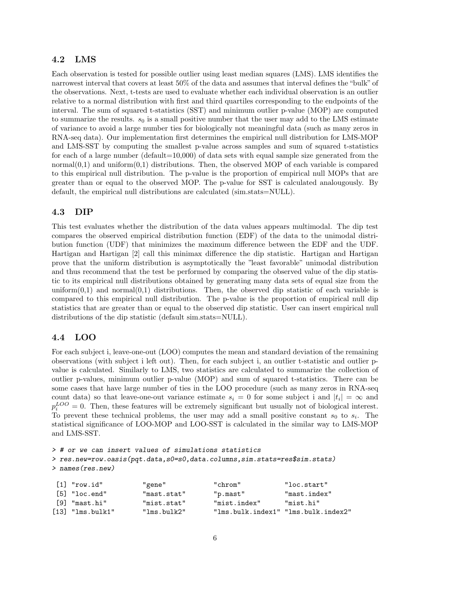#### 4.2 LMS

Each observation is tested for possible outlier using least median squares (LMS). LMS identifies the narrowest interval that covers at least 50% of the data and assumes that interval defines the "bulk" of the observations. Next, t-tests are used to evaluate whether each individual observation is an outlier relative to a normal distribution with first and third quartiles corresponding to the endpoints of the interval. The sum of squared t-statistics (SST) and minimum outlier p-value (MOP) are computed to summarize the results.  $s_0$  is a small positive number that the user may add to the LMS estimate of variance to avoid a large number ties for biologically not meaningful data (such as many zeros in RNA-seq data). Our implementation first determines the empirical null distribution for LMS-MOP and LMS-SST by computing the smallest p-value across samples and sum of squared t-statistics for each of a large number (default=10,000) of data sets with equal sample size generated from the normal $(0,1)$  and uniform $(0,1)$  distributions. Then, the observed MOP of each variable is compared to this empirical null distribution. The p-value is the proportion of empirical null MOPs that are greater than or equal to the observed MOP. The p-value for SST is calculated analougously. By default, the empirical null distributions are calculated (sim.stats=NULL).

#### 4.3 DIP

This test evaluates whether the distribution of the data values appears multimodal. The dip test compares the observed empirical distribution function (EDF) of the data to the unimodal distribution function (UDF) that minimizes the maximum difference between the EDF and the UDF. Hartigan and Hartigan [2] call this minimax difference the dip statistic. Hartigan and Hartigan prove that the uniform distribution is asymptotically the "least favorable" unimodal distribution and thus recommend that the test be performed by comparing the observed value of the dip statistic to its empirical null distributions obtained by generating many data sets of equal size from the uniform $(0,1)$  and normal $(0,1)$  distributions. Then, the observed dip statistic of each variable is compared to this empirical null distribution. The p-value is the proportion of empirical null dip statistics that are greater than or equal to the observed dip statistic. User can insert empirical null distributions of the dip statistic (default sim.stats=NULL).

#### 4.4 LOO

For each subject i, leave-one-out (LOO) computes the mean and standard deviation of the remaining observations (with subject i left out). Then, for each subject i, an outlier t-statistic and outlier pvalue is calculated. Similarly to LMS, two statistics are calculated to summarize the collection of outlier p-values, minimum outlier p-value (MOP) and sum of squared t-statistics. There can be some cases that have large number of ties in the LOO procedure (such as many zeros in RNA-seq count data) so that leave-one-out variance estimate  $s_i = 0$  for some subject i and  $|t_i| = \infty$  and  $p_i^{LOO} = 0$ . Then, these features will be extremely significant but usually not of biological interest. To prevent these technical problems, the user may add a small positive constant  $s_0$  to  $s_i$ . The statistical significance of LOO-MOP and LOO-SST is calculated in the similar way to LMS-MOP and LMS-SST.

> # or we can insert values of simulations statistics > res.new=row.oasis(pqt.data,s0=s0,data.columns,sim.stats=res\$sim.stats) > names(res.new)

| $\lceil 1 \rceil$ "row.id" | "gene"      | "chrom"                             | "loc.start"  |
|----------------------------|-------------|-------------------------------------|--------------|
| [5] "loc.end"              | "mast.stat" | "p.mast"                            | "mast.index" |
| [9] "mast.hi"              | "mist.stat" | "mist.index"                        | "mist.hi"    |
| $[13]$ "lms.bulk1"         | "lms.bulk2" | "Ims.bulk.index1" "Ims.bulk.index2" |              |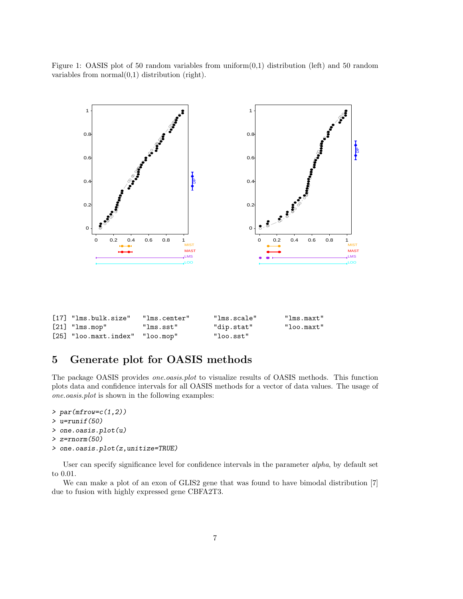Figure 1: OASIS plot of 50 random variables from uniform $(0,1)$  distribution (left) and 50 random variables from  $normal(0,1)$  distribution (right).



| $[17]$ "lms.bulk.size"            | "lms.center" | "lms.scale" | "lms.maxt"    |
|-----------------------------------|--------------|-------------|---------------|
| $[21]$ "lms.mop"                  | "lms.sst"    | "dip.stat"  | $"$ loo.maxt" |
| $[25]$ "loo.maxt.index" "loo.mop" |              | "loo.sst"   |               |

# 5 Generate plot for OASIS methods

The package OASIS provides *one.oasis.plot* to visualize results of OASIS methods. This function plots data and confidence intervals for all OASIS methods for a vector of data values. The usage of one.oasis.plot is shown in the following examples:

```
> par(mfrow=c(1,2))> u=runif(50)
> one.oasis.plot(u)
```

```
> z=rnorm(50)
```

```
> one.oasis.plot(z,unitize=TRUE)
```
User can specify significance level for confidence intervals in the parameter alpha, by default set to 0.01.

We can make a plot of an exon of GLIS2 gene that was found to have bimodal distribution [7] due to fusion with highly expressed gene CBFA2T3.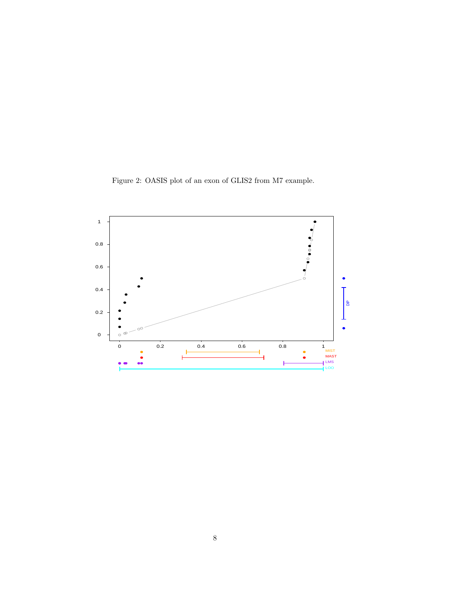Figure 2: OASIS plot of an exon of GLIS2 from M7 example.